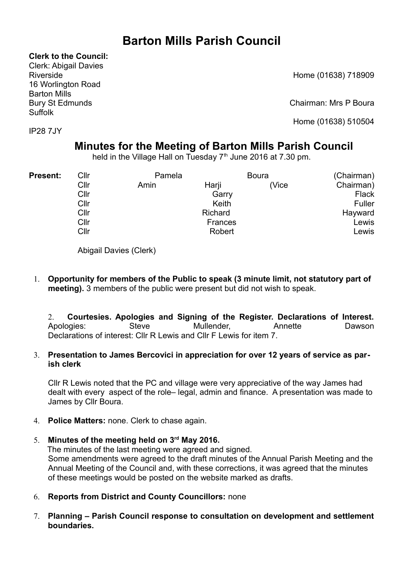# **Barton Mills Parish Council**

**Clerk to the Council:**

Clerk: Abigail Davies Riverside Home (01638) 718909 16 Worlington Road Barton Mills Suffolk

IP28 7JY

Bury St Edmunds Chairman: Mrs P Boura

Home (01638) 510504

## **Minutes for the Meeting of Barton Mills Parish Council**

held in the Village Hall on Tuesday  $7<sup>th</sup>$  June 2016 at 7.30 pm.

| <b>Present:</b> | Cllr | Pamela |         | <b>Boura</b> | (Chairman) |  |  |
|-----------------|------|--------|---------|--------------|------------|--|--|
|                 | Cllr | Amin   | Harji   | (Vice        | Chairman)  |  |  |
|                 | Cllr |        | Garry   |              | Flack      |  |  |
|                 | Cllr |        |         | Fuller       |            |  |  |
|                 | Cllr |        | Hayward |              |            |  |  |
|                 | Cllr |        | Lewis   |              |            |  |  |
|                 | Cllr |        |         | Lewis        |            |  |  |

Abigail Davies (Clerk)

1. **Opportunity for members of the Public to speak (3 minute limit, not statutory part of meeting).** 3 members of the public were present but did not wish to speak.

2. **Courtesies. Apologies and Signing of the Register. Declarations of Interest.** Apologies: Steve Mullender, Annette Dawson Declarations of interest: Cllr R Lewis and Cllr F Lewis for item 7.

## 3. **Presentation to James Bercovici in appreciation for over 12 years of service as parish clerk**

Cllr R Lewis noted that the PC and village were very appreciative of the way James had dealt with every aspect of the role– legal, admin and finance. A presentation was made to James by Cllr Boura.

- 4. **Police Matters:** none. Clerk to chase again.
- 5. **Minutes of the meeting held on 3rd May 2016.**

The minutes of the last meeting were agreed and signed. Some amendments were agreed to the draft minutes of the Annual Parish Meeting and the Annual Meeting of the Council and, with these corrections, it was agreed that the minutes of these meetings would be posted on the website marked as drafts.

- 6. **Reports from District and County Councillors:** none
- 7. **Planning Parish Council response to consultation on development and settlement boundaries.**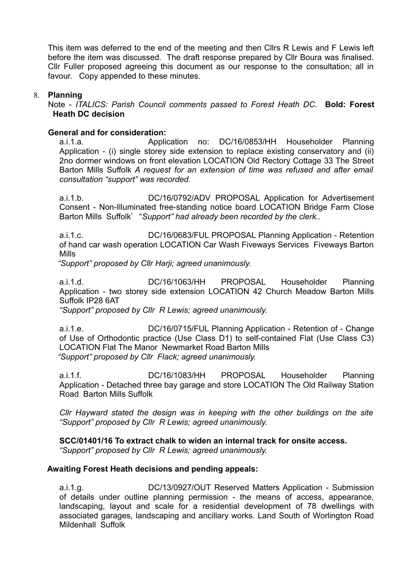This item was deferred to the end of the meeting and then Cllrs R Lewis and F Lewis left before the item was discussed. The draft response prepared by Cllr Boura was finalised. Cllr Fuller proposed agreeing this document as our response to the consultation; all in favour. Copy appended to these minutes.

#### 8. **Planning**

Note - *ITALICS: Parish Council comments passed to Forest Heath DC.* **Bold: Forest Heath DC decision**

#### **General and for consideration:**

a.i.1.a. Application no: DC/16/0853/HH Householder Planning Application - (i) single storey side extension to replace existing conservatory and (ii) 2no dormer windows on front elevation LOCATION Old Rectory Cottage 33 The Street Barton Mills Suffolk *A request for an extension of time was refused and after email consultation "support" was recorded.*

a.i.1.b. DC/16/0792/ADV PROPOSAL Application for Advertisement Consent - Non-Illuminated free-standing notice board LOCATION Bridge Farm Close Barton Mills Suffolk' "*Support" had already been recorded by the clerk..*

a.i.1.c. DC/16/0683/FUL PROPOSAL Planning Application - Retention of hand car wash operation LOCATION Car Wash Fiveways Services Fiveways Barton Mills

*"Support" proposed by Cllr Harji; agreed unanimously.*

a.i.1.d. DC/16/1063/HH PROPOSAL Householder Planning Application - two storey side extension LOCATION 42 Church Meadow Barton Mills Suffolk IP28 6AT

*"Support" proposed by Cllr R Lewis; agreed unanimously.*

a.i.1.e. DC/16/0715/FUL Planning Application - Retention of - Change of Use of Orthodontic practice (Use Class D1) to self-contained Flat (Use Class C3) LOCATION Flat The Manor Newmarket Road Barton Mills *"Support" proposed by Cllr Flack; agreed unanimously.*

a.i.1.f. DC/16/1083/HH PROPOSAL Householder Planning Application - Detached three bay garage and store LOCATION The Old Railway Station Road Barton Mills Suffolk

*Cllr Hayward stated the design was in keeping with the other buildings on the site "Support" proposed by Cllr R Lewis; agreed unanimously.*

#### **SCC/01401/16 To extract chalk to widen an internal track for onsite access.**

*"Support" proposed by Cllr R Lewis; agreed unanimously.*

#### **Awaiting Forest Heath decisions and pending appeals:**

a.i.1.g. DC/13/0927/OUT Reserved Matters Application - Submission of details under outline planning permission - the means of access, appearance, landscaping, layout and scale for a residential development of 78 dwellings with associated garages, landscaping and ancillary works. Land South of Worlington Road Mildenhall Suffolk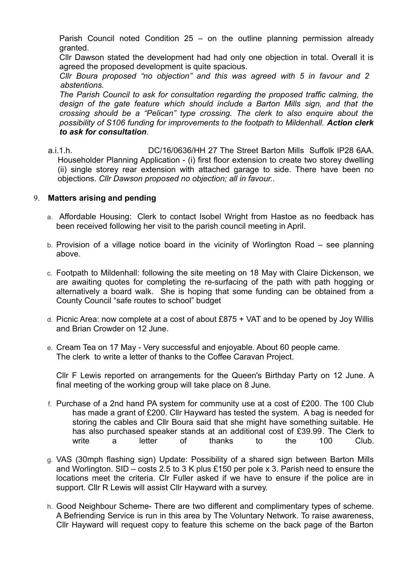Parish Council noted Condition 25 – on the outline planning permission already granted.

Cllr Dawson stated the development had had only one objection in total. Overall it is agreed the proposed development is quite spacious.

*Cllr Boura proposed "no objection" and this was agreed with 5 in favour and 2 abstentions.*

*The Parish Council to ask for consultation regarding the proposed traffic calming, the design of the gate feature which should include a Barton Mills sign, and that the crossing should be a "Pelican" type crossing. The clerk to also enquire about the possibility of S106 funding for improvements to the footpath to Mildenhall. Action clerk to ask for consultation*.

a.i.1.h. DC/16/0636/HH 27 The Street Barton Mills Suffolk IP28 6AA. Householder Planning Application - (i) first floor extension to create two storey dwelling (ii) single storey rear extension with attached garage to side. There have been no objections. *Cllr Dawson proposed no objection; all in favour..*

#### 9. **Matters arising and pending**

- a. Affordable Housing: Clerk to contact Isobel Wright from Hastoe as no feedback has been received following her visit to the parish council meeting in April.
- b. Provision of a village notice board in the vicinity of Worlington Road see planning above.
- c. Footpath to Mildenhall: following the site meeting on 18 May with Claire Dickenson, we are awaiting quotes for completing the re-surfacing of the path with path hogging or alternatively a board walk. She is hoping that some funding can be obtained from a County Council "safe routes to school" budget
- d. Picnic Area: now complete at a cost of about £875 + VAT and to be opened by Joy Willis and Brian Crowder on 12 June.
- e. Cream Tea on 17 May Very successful and enjoyable. About 60 people came. The clerk to write a letter of thanks to the Coffee Caravan Project.

Cllr F Lewis reported on arrangements for the Queen's Birthday Party on 12 June. A final meeting of the working group will take place on 8 June.

- f. Purchase of a 2nd hand PA system for community use at a cost of £200. The 100 Club has made a grant of £200. Cllr Hayward has tested the system. A bag is needed for storing the cables and Cllr Boura said that she might have something suitable. He has also purchased speaker stands at an additional cost of £39.99. The Clerk to write a letter of thanks to the 100 Club.
- g. VAS (30mph flashing sign) Update: Possibility of a shared sign between Barton Mills and Worlington. SID – costs 2.5 to 3 K plus £150 per pole x 3. Parish need to ensure the locations meet the criteria. Clr Fuller asked if we have to ensure if the police are in support. Cllr R Lewis will assist Cllr Hayward with a survey.
- h. Good Neighbour Scheme- There are two different and complimentary types of scheme. A Befriending Service is run in this area by The Voluntary Network. To raise awareness, Cllr Hayward will request copy to feature this scheme on the back page of the Barton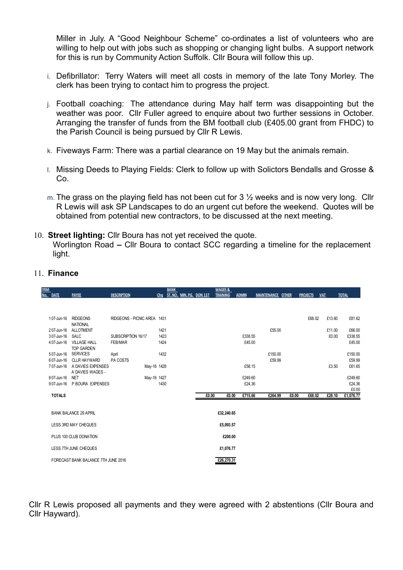Miller in July. A "Good Neighbour Scheme" co-ordinates a list of volunteers who are willing to help out with jobs such as shopping or changing light bulbs. A support network for this is run by Community Action Suffolk. Cllr Boura will follow this up.

- i. Defibrillator: Terry Waters will meet all costs in memory of the late Tony Morley. The clerk has been trying to contact him to progress the project.
- j. Football coaching: The attendance during May half term was disappointing but the weather was poor. Cllr Fuller agreed to enquire about two further sessions in October. Arranging the transfer of funds from the BM football club (£405.00 grant from FHDC) to the Parish Council is being pursued by Cllr R Lewis.
- k. Fiveways Farm: There was a partial clearance on 19 May but the animals remain.
- l. Missing Deeds to Playing Fields: Clerk to follow up with Solictors Bendalls and Grosse & Co.
- m. The grass on the playing field has not been cut for 3  $\frac{1}{2}$  weeks and is now very long. Cllr R Lewis will ask SP Landscapes to do an urgent cut before the weekend. Quotes will be obtained from potential new contractors, to be discussed at the next meeting.
- 10. **Street lighting:** Cllr Boura has not yet received the quote. Worlington Road **–** Cllr Boura to contact SCC regarding a timeline for the replacement light.

| <b>ITEM</b> |               |                                       |                             |             | <b>BANK</b>              |       | <b>WAGES &amp;</b> |              |         |                   |       |                 |            |        |              |
|-------------|---------------|---------------------------------------|-----------------------------|-------------|--------------------------|-------|--------------------|--------------|---------|-------------------|-------|-----------------|------------|--------|--------------|
|             | No. DATE      | <b>PAYEE</b>                          | <b>DESCRIPTION</b>          | Chq         | ST. NO. MIN. PG. DON 137 |       | <b>TRAINING</b>    | <b>ADMIN</b> |         | MAINTENANCE OTHER |       | <b>PROJECTS</b> | <b>VAT</b> |        | <b>TOTAL</b> |
|             |               |                                       |                             |             |                          |       |                    |              |         |                   |       |                 |            |        |              |
|             |               |                                       |                             |             |                          |       |                    |              |         |                   |       |                 |            |        |              |
|             | 107-Jun-16    | <b>RIDGEONS</b><br><b>NATIONAL</b>    | RIDGEONS - PICNIC AREA 1431 |             |                          |       |                    |              |         |                   |       | £68.02          |            | £13.60 | £81.62       |
|             | 207-Jun-16    | <b>ALLOTMENT</b>                      |                             | 1421        |                          |       |                    |              |         | £55.00            |       |                 |            | £11.00 | £66.00       |
|             | 307-Jun-16    | <b>SALC</b>                           | SUBSCRIPTION 16/17          | 1423        |                          |       |                    |              | £338.55 |                   |       |                 |            | £0.00  | £338.55      |
|             | 407-Jun-16    | <b>VILLAGE HALL</b>                   | FEB/MAR                     | 1424        |                          |       |                    |              | £45.00  |                   |       |                 |            |        | £45.00       |
|             |               | <b>TOP GARDEN</b>                     |                             |             |                          |       |                    |              |         |                   |       |                 |            |        |              |
|             | 507-Jun-16    | <b>SERVICES</b>                       | April                       | 1432        |                          |       |                    |              |         | £150.00           |       |                 |            |        | £150.00      |
|             | 607-Jun-16    | <b>CLLR HAYWARD</b>                   | PA COSTS                    |             |                          |       |                    |              |         | £59.99            |       |                 |            |        | £59.99       |
|             | 707-Jun-16    | A DAVIES EXPENSES<br>A DAVIES WAGES - |                             | May-16 1428 |                          |       |                    |              | £58.15  |                   |       |                 |            | £3.50  | £61.65       |
|             | 807-Jun-16    | <b>NET</b>                            |                             | May-16 1427 |                          |       |                    |              | £249.60 |                   |       |                 |            |        | £249.60      |
|             | 907-Jun-16    | P BOURA EXPENSES                      |                             | 1430        |                          |       |                    |              | £24.36  |                   |       |                 |            |        | £24.36       |
|             |               |                                       |                             |             |                          |       |                    |              |         |                   |       |                 |            |        | £0.00        |
|             | <b>TOTALS</b> |                                       |                             |             |                          | £0.00 | £0.00              |              | £715.66 | £264.99           | £0.00 | £68.02          |            | £28.10 | £1,076.77    |
|             |               |                                       |                             |             |                          |       |                    |              |         |                   |       |                 |            |        |              |
|             |               | <b>BANK BALANCE 29 APRIL</b>          |                             |             |                          |       | £32,240.65         |              |         |                   |       |                 |            |        |              |
|             |               | LESS 3RD MAY CHEQUES                  |                             |             |                          |       | £5,093.57          |              |         |                   |       |                 |            |        |              |
|             |               | PLUS 100 CLUB DONATION                |                             |             |                          |       | £200.00            |              |         |                   |       |                 |            |        |              |
|             |               |                                       |                             |             |                          |       |                    |              |         |                   |       |                 |            |        |              |
|             |               | LESS 7TH JUNE CHEQUES                 |                             |             |                          |       | £1,076.77          |              |         |                   |       |                 |            |        |              |
|             |               | FORECAST BANK BALANCE 7TH JUNE 2016   |                             |             |                          |       | £26,270.31         |              |         |                   |       |                 |            |        |              |

#### 11. **Finance**

Cllr R Lewis proposed all payments and they were agreed with 2 abstentions (Cllr Boura and Cllr Hayward).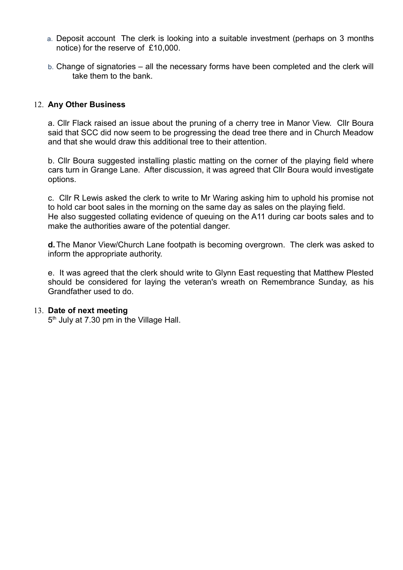- a. Deposit account The clerk is looking into a suitable investment (perhaps on 3 months notice) for the reserve of £10,000.
- b. Change of signatories all the necessary forms have been completed and the clerk will take them to the bank.

#### 12. **Any Other Business**

a. Cllr Flack raised an issue about the pruning of a cherry tree in Manor View. Cllr Boura said that SCC did now seem to be progressing the dead tree there and in Church Meadow and that she would draw this additional tree to their attention.

b. Cllr Boura suggested installing plastic matting on the corner of the playing field where cars turn in Grange Lane. After discussion, it was agreed that Cllr Boura would investigate options.

c.Cllr R Lewis asked the clerk to write to Mr Waring asking him to uphold his promise not to hold car boot sales in the morning on the same day as sales on the playing field. He also suggested collating evidence of queuing on the A11 during car boots sales and to make the authorities aware of the potential danger.

**d.**The Manor View/Church Lane footpath is becoming overgrown. The clerk was asked to inform the appropriate authority.

e. It was agreed that the clerk should write to Glynn East requesting that Matthew Plested should be considered for laying the veteran's wreath on Remembrance Sunday, as his Grandfather used to do.

#### 13. **Date of next meeting**

5<sup>th</sup> July at 7.30 pm in the Village Hall.